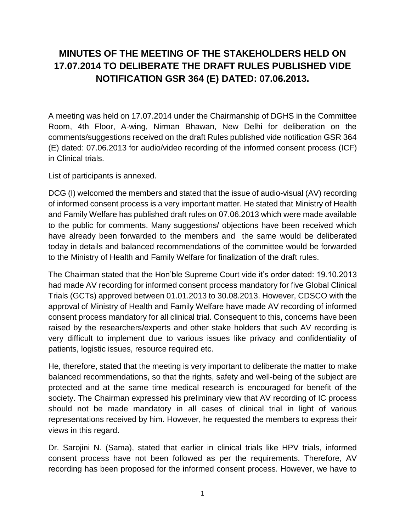## **MINUTES OF THE MEETING OF THE STAKEHOLDERS HELD ON 17.07.2014 TO DELIBERATE THE DRAFT RULES PUBLISHED VIDE NOTIFICATION GSR 364 (E) DATED: 07.06.2013.**

A meeting was held on 17.07.2014 under the Chairmanship of DGHS in the Committee Room, 4th Floor, A-wing, Nirman Bhawan, New Delhi for deliberation on the comments/suggestions received on the draft Rules published vide notification GSR 364 (E) dated: 07.06.2013 for audio/video recording of the informed consent process (ICF) in Clinical trials.

List of participants is annexed.

DCG (I) welcomed the members and stated that the issue of audio-visual (AV) recording of informed consent process is a very important matter. He stated that Ministry of Health and Family Welfare has published draft rules on 07.06.2013 which were made available to the public for comments. Many suggestions/ objections have been received which have already been forwarded to the members and the same would be deliberated today in details and balanced recommendations of the committee would be forwarded to the Ministry of Health and Family Welfare for finalization of the draft rules.

The Chairman stated that the Hon'ble Supreme Court vide it's order dated: 19.10.2013 had made AV recording for informed consent process mandatory for five Global Clinical Trials (GCTs) approved between 01.01.2013 to 30.08.2013. However, CDSCO with the approval of Ministry of Health and Family Welfare have made AV recording of informed consent process mandatory for all clinical trial. Consequent to this, concerns have been raised by the researchers/experts and other stake holders that such AV recording is very difficult to implement due to various issues like privacy and confidentiality of patients, logistic issues, resource required etc.

He, therefore, stated that the meeting is very important to deliberate the matter to make balanced recommendations, so that the rights, safety and well-being of the subject are protected and at the same time medical research is encouraged for benefit of the society. The Chairman expressed his preliminary view that AV recording of IC process should not be made mandatory in all cases of clinical trial in light of various representations received by him. However, he requested the members to express their views in this regard.

Dr. Sarojini N. (Sama), stated that earlier in clinical trials like HPV trials, informed consent process have not been followed as per the requirements. Therefore, AV recording has been proposed for the informed consent process. However, we have to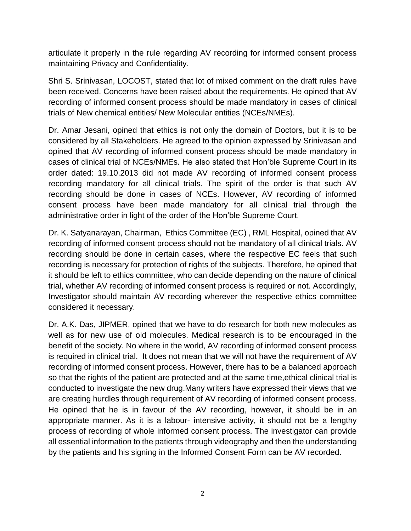articulate it properly in the rule regarding AV recording for informed consent process maintaining Privacy and Confidentiality.

Shri S. Srinivasan, LOCOST, stated that lot of mixed comment on the draft rules have been received. Concerns have been raised about the requirements. He opined that AV recording of informed consent process should be made mandatory in cases of clinical trials of New chemical entities/ New Molecular entities (NCEs/NMEs).

Dr. Amar Jesani, opined that ethics is not only the domain of Doctors, but it is to be considered by all Stakeholders. He agreed to the opinion expressed by Srinivasan and opined that AV recording of informed consent process should be made mandatory in cases of clinical trial of NCEs/NMEs. He also stated that Hon'ble Supreme Court in its order dated: 19.10.2013 did not made AV recording of informed consent process recording mandatory for all clinical trials. The spirit of the order is that such AV recording should be done in cases of NCEs. However, AV recording of informed consent process have been made mandatory for all clinical trial through the administrative order in light of the order of the Hon'ble Supreme Court.

Dr. K. Satyanarayan, Chairman, Ethics Committee (EC) , RML Hospital, opined that AV recording of informed consent process should not be mandatory of all clinical trials. AV recording should be done in certain cases, where the respective EC feels that such recording is necessary for protection of rights of the subjects. Therefore, he opined that it should be left to ethics committee, who can decide depending on the nature of clinical trial, whether AV recording of informed consent process is required or not. Accordingly, Investigator should maintain AV recording wherever the respective ethics committee considered it necessary.

Dr. A.K. Das, JIPMER, opined that we have to do research for both new molecules as well as for new use of old molecules. Medical research is to be encouraged in the benefit of the society. No where in the world, AV recording of informed consent process is required in clinical trial. It does not mean that we will not have the requirement of AV recording of informed consent process. However, there has to be a balanced approach so that the rights of the patient are protected and at the same time, ethical clinical trial is conducted to investigate the new drug.Many writers have expressed their views that we are creating hurdles through requirement of AV recording of informed consent process. He opined that he is in favour of the AV recording, however, it should be in an appropriate manner. As it is a labour- intensive activity, it should not be a lengthy process of recording of whole informed consent process. The investigator can provide all essential information to the patients through videography and then the understanding by the patients and his signing in the Informed Consent Form can be AV recorded.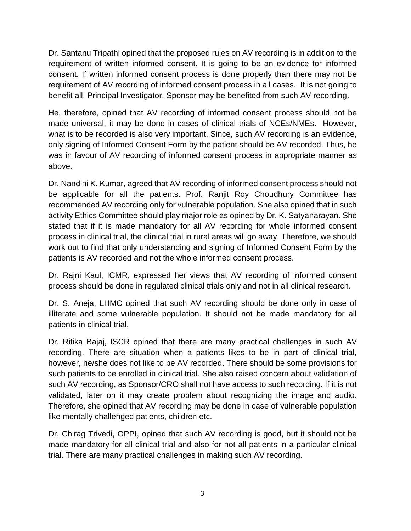Dr. Santanu Tripathi opined that the proposed rules on AV recording is in addition to the requirement of written informed consent. It is going to be an evidence for informed consent. If written informed consent process is done properly than there may not be requirement of AV recording of informed consent process in all cases. It is not going to benefit all. Principal Investigator, Sponsor may be benefited from such AV recording.

He, therefore, opined that AV recording of informed consent process should not be made universal, it may be done in cases of clinical trials of NCEs/NMEs. However, what is to be recorded is also very important. Since, such AV recording is an evidence, only signing of Informed Consent Form by the patient should be AV recorded. Thus, he was in favour of AV recording of informed consent process in appropriate manner as above.

Dr. Nandini K. Kumar, agreed that AV recording of informed consent process should not be applicable for all the patients. Prof. Ranjit Roy Choudhury Committee has recommended AV recording only for vulnerable population. She also opined that in such activity Ethics Committee should play major role as opined by Dr. K. Satyanarayan. She stated that if it is made mandatory for all AV recording for whole informed consent process in clinical trial, the clinical trial in rural areas will go away. Therefore, we should work out to find that only understanding and signing of Informed Consent Form by the patients is AV recorded and not the whole informed consent process.

Dr. Rajni Kaul, ICMR, expressed her views that AV recording of informed consent process should be done in regulated clinical trials only and not in all clinical research.

Dr. S. Aneja, LHMC opined that such AV recording should be done only in case of illiterate and some vulnerable population. It should not be made mandatory for all patients in clinical trial.

Dr. Ritika Bajaj, ISCR opined that there are many practical challenges in such AV recording. There are situation when a patients likes to be in part of clinical trial, however, he/she does not like to be AV recorded. There should be some provisions for such patients to be enrolled in clinical trial. She also raised concern about validation of such AV recording, as Sponsor/CRO shall not have access to such recording. If it is not validated, later on it may create problem about recognizing the image and audio. Therefore, she opined that AV recording may be done in case of vulnerable population like mentally challenged patients, children etc.

Dr. Chirag Trivedi, OPPI, opined that such AV recording is good, but it should not be made mandatory for all clinical trial and also for not all patients in a particular clinical trial. There are many practical challenges in making such AV recording.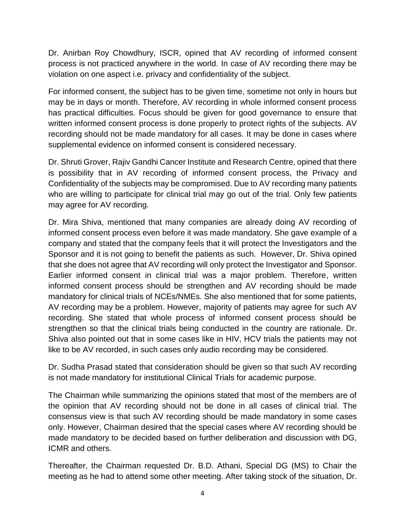Dr. Anirban Roy Chowdhury, ISCR, opined that AV recording of informed consent process is not practiced anywhere in the world. In case of AV recording there may be violation on one aspect i.e. privacy and confidentiality of the subject.

For informed consent, the subject has to be given time, sometime not only in hours but may be in days or month. Therefore, AV recording in whole informed consent process has practical difficulties. Focus should be given for good governance to ensure that written informed consent process is done properly to protect rights of the subjects. AV recording should not be made mandatory for all cases. It may be done in cases where supplemental evidence on informed consent is considered necessary.

Dr. Shruti Grover, Rajiv Gandhi Cancer Institute and Research Centre, opined that there is possibility that in AV recording of informed consent process, the Privacy and Confidentiality of the subjects may be compromised. Due to AV recording many patients who are willing to participate for clinical trial may go out of the trial. Only few patients may agree for AV recording.

Dr. Mira Shiva, mentioned that many companies are already doing AV recording of informed consent process even before it was made mandatory. She gave example of a company and stated that the company feels that it will protect the Investigators and the Sponsor and it is not going to benefit the patients as such. However, Dr. Shiva opined that she does not agree that AV recording will only protect the Investigator and Sponsor. Earlier informed consent in clinical trial was a major problem. Therefore, written informed consent process should be strengthen and AV recording should be made mandatory for clinical trials of NCEs/NMEs. She also mentioned that for some patients, AV recording may be a problem. However, majority of patients may agree for such AV recording. She stated that whole process of informed consent process should be strengthen so that the clinical trials being conducted in the country are rationale. Dr. Shiva also pointed out that in some cases like in HIV, HCV trials the patients may not like to be AV recorded, in such cases only audio recording may be considered.

Dr. Sudha Prasad stated that consideration should be given so that such AV recording is not made mandatory for institutional Clinical Trials for academic purpose.

The Chairman while summarizing the opinions stated that most of the members are of the opinion that AV recording should not be done in all cases of clinical trial. The consensus view is that such AV recording should be made mandatory in some cases only. However, Chairman desired that the special cases where AV recording should be made mandatory to be decided based on further deliberation and discussion with DG, ICMR and others.

Thereafter, the Chairman requested Dr. B.D. Athani, Special DG (MS) to Chair the meeting as he had to attend some other meeting. After taking stock of the situation, Dr.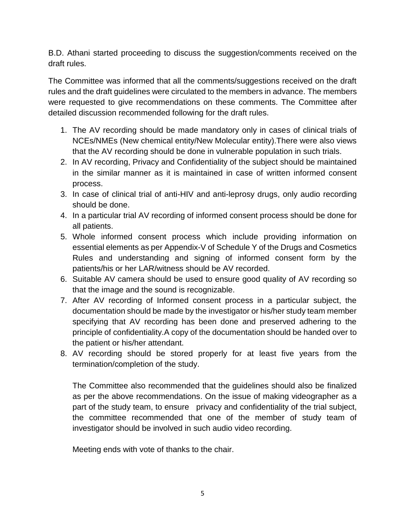B.D. Athani started proceeding to discuss the suggestion/comments received on the draft rules.

The Committee was informed that all the comments/suggestions received on the draft rules and the draft guidelines were circulated to the members in advance. The members were requested to give recommendations on these comments. The Committee after detailed discussion recommended following for the draft rules.

- 1. The AV recording should be made mandatory only in cases of clinical trials of NCEs/NMEs (New chemical entity/New Molecular entity).There were also views that the AV recording should be done in vulnerable population in such trials.
- 2. In AV recording, Privacy and Confidentiality of the subject should be maintained in the similar manner as it is maintained in case of written informed consent process.
- 3. In case of clinical trial of anti-HIV and anti-leprosy drugs, only audio recording should be done.
- 4. In a particular trial AV recording of informed consent process should be done for all patients.
- 5. Whole informed consent process which include providing information on essential elements as per Appendix-V of Schedule Y of the Drugs and Cosmetics Rules and understanding and signing of informed consent form by the patients/his or her LAR/witness should be AV recorded.
- 6. Suitable AV camera should be used to ensure good quality of AV recording so that the image and the sound is recognizable.
- 7. After AV recording of Informed consent process in a particular subject, the documentation should be made by the investigator or his/her study team member specifying that AV recording has been done and preserved adhering to the principle of confidentiality.A copy of the documentation should be handed over to the patient or his/her attendant.
- 8. AV recording should be stored properly for at least five years from the termination/completion of the study.

The Committee also recommended that the guidelines should also be finalized as per the above recommendations. On the issue of making videographer as a part of the study team, to ensure privacy and confidentiality of the trial subject, the committee recommended that one of the member of study team of investigator should be involved in such audio video recording.

Meeting ends with vote of thanks to the chair.